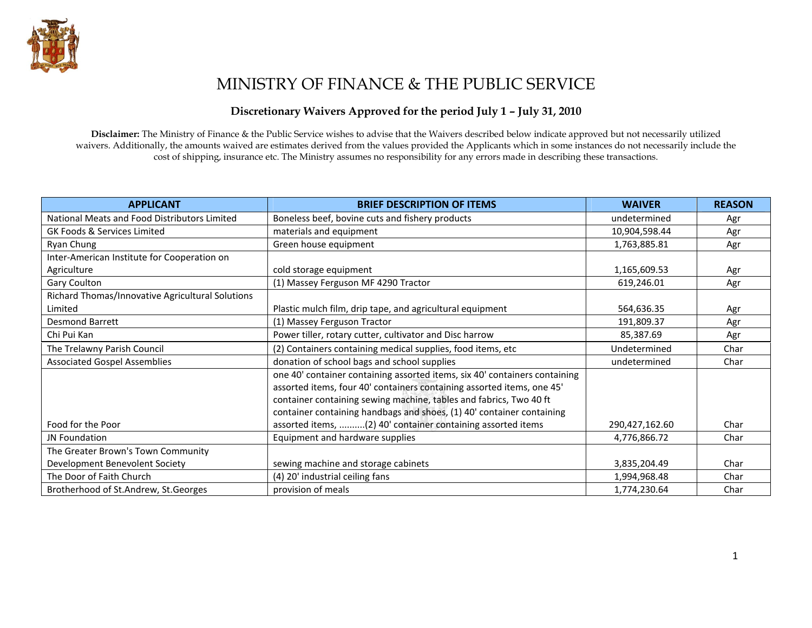

# MINISTRY OF FINANCE & THE PUBLIC SERVICE

#### Discretionary Waivers Approved for the period July 1 – July 31, 2010

Disclaimer: The Ministry of Finance & the Public Service wishes to advise that the Waivers described below indicate approved but not necessarily utilized waivers. Additionally, the amounts waived are estimates derived from the values provided the Applicants which in some instances do not necessarily include the cost of shipping, insurance etc. The Ministry assumes no responsibility for any errors made in describing these transactions.

| <b>APPLICANT</b>                                 | <b>BRIEF DESCRIPTION OF ITEMS</b>                                          | <b>WAIVER</b>  | <b>REASON</b> |
|--------------------------------------------------|----------------------------------------------------------------------------|----------------|---------------|
| National Meats and Food Distributors Limited     | Boneless beef, bovine cuts and fishery products                            | undetermined   | Agr           |
| GK Foods & Services Limited                      | materials and equipment                                                    | 10,904,598.44  | Agr           |
| Ryan Chung                                       | Green house equipment                                                      | 1,763,885.81   | Agr           |
| Inter-American Institute for Cooperation on      |                                                                            |                |               |
| Agriculture                                      | cold storage equipment                                                     | 1,165,609.53   | Agr           |
| Gary Coulton                                     | (1) Massey Ferguson MF 4290 Tractor                                        | 619,246.01     | Agr           |
| Richard Thomas/Innovative Agricultural Solutions |                                                                            |                |               |
| Limited                                          | Plastic mulch film, drip tape, and agricultural equipment                  | 564,636.35     | Agr           |
| Desmond Barrett                                  | (1) Massey Ferguson Tractor                                                | 191,809.37     | Agr           |
| Chi Pui Kan                                      | Power tiller, rotary cutter, cultivator and Disc harrow                    | 85,387.69      | Agr           |
| The Trelawny Parish Council                      | (2) Containers containing medical supplies, food items, etc                | Undetermined   | Char          |
| <b>Associated Gospel Assemblies</b>              | donation of school bags and school supplies                                | undetermined   | Char          |
|                                                  | one 40' container containing assorted items, six 40' containers containing |                |               |
|                                                  | assorted items, four 40' containers containing assorted items, one 45'     |                |               |
|                                                  | container containing sewing machine, tables and fabrics, Two 40 ft         |                |               |
|                                                  | container containing handbags and shoes, (1) 40' container containing      |                |               |
| Food for the Poor                                | assorted items, (2) 40' container containing assorted items                | 290,427,162.60 | Char          |
| <b>JN Foundation</b>                             | Equipment and hardware supplies                                            | 4,776,866.72   | Char          |
| The Greater Brown's Town Community               |                                                                            |                |               |
| Development Benevolent Society                   | sewing machine and storage cabinets                                        | 3,835,204.49   | Char          |
| The Door of Faith Church                         | (4) 20' industrial ceiling fans                                            | 1,994,968.48   | Char          |
| Brotherhood of St.Andrew, St.Georges             | provision of meals                                                         | 1,774,230.64   | Char          |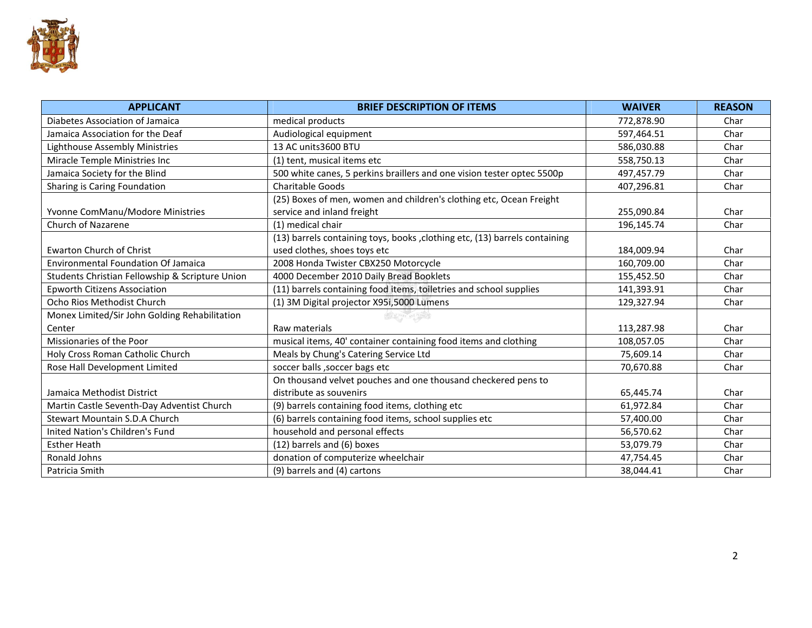

| <b>APPLICANT</b>                                | <b>BRIEF DESCRIPTION OF ITEMS</b>                                           | <b>WAIVER</b> | <b>REASON</b> |
|-------------------------------------------------|-----------------------------------------------------------------------------|---------------|---------------|
| Diabetes Association of Jamaica                 | medical products                                                            | 772,878.90    | Char          |
| Jamaica Association for the Deaf                | Audiological equipment                                                      | 597,464.51    | Char          |
| Lighthouse Assembly Ministries                  | 13 AC units 3600 BTU                                                        | 586,030.88    | Char          |
| Miracle Temple Ministries Inc                   | (1) tent, musical items etc                                                 | 558,750.13    | Char          |
| Jamaica Society for the Blind                   | 500 white canes, 5 perkins braillers and one vision tester optec 5500p      | 497,457.79    | Char          |
| Sharing is Caring Foundation                    | <b>Charitable Goods</b>                                                     | 407,296.81    | Char          |
|                                                 | (25) Boxes of men, women and children's clothing etc, Ocean Freight         |               |               |
| Yvonne ComManu/Modore Ministries                | service and inland freight                                                  | 255,090.84    | Char          |
| <b>Church of Nazarene</b>                       | (1) medical chair                                                           | 196,145.74    | Char          |
|                                                 | (13) barrels containing toys, books , clothing etc, (13) barrels containing |               |               |
| <b>Ewarton Church of Christ</b>                 | used clothes, shoes toys etc                                                | 184,009.94    | Char          |
| <b>Environmental Foundation Of Jamaica</b>      | 2008 Honda Twister CBX250 Motorcycle                                        | 160.709.00    | Char          |
| Students Christian Fellowship & Scripture Union | 4000 December 2010 Daily Bread Booklets                                     | 155,452.50    | Char          |
| <b>Epworth Citizens Association</b>             | (11) barrels containing food items, toiletries and school supplies          | 141,393.91    | Char          |
| Ocho Rios Methodist Church                      | (1) 3M Digital projector X95i,5000 Lumens                                   | 129,327.94    | Char          |
| Monex Limited/Sir John Golding Rehabilitation   |                                                                             |               |               |
| Center                                          | Raw materials                                                               | 113,287.98    | Char          |
| Missionaries of the Poor                        | musical items, 40' container containing food items and clothing             | 108,057.05    | Char          |
| Holy Cross Roman Catholic Church                | Meals by Chung's Catering Service Ltd                                       | 75,609.14     | Char          |
| Rose Hall Development Limited                   | soccer balls , soccer bags etc                                              | 70,670.88     | Char          |
|                                                 | On thousand velvet pouches and one thousand checkered pens to               |               |               |
| Jamaica Methodist District                      | distribute as souvenirs                                                     | 65,445.74     | Char          |
| Martin Castle Seventh-Day Adventist Church      | (9) barrels containing food items, clothing etc                             | 61,972.84     | Char          |
| Stewart Mountain S.D.A Church                   | (6) barrels containing food items, school supplies etc                      | 57,400.00     | Char          |
| Inited Nation's Children's Fund                 | household and personal effects                                              | 56,570.62     | Char          |
| <b>Esther Heath</b>                             | (12) barrels and (6) boxes                                                  | 53,079.79     | Char          |
| Ronald Johns                                    | donation of computerize wheelchair                                          | 47,754.45     | Char          |
| Patricia Smith                                  | (9) barrels and (4) cartons                                                 | 38,044.41     | Char          |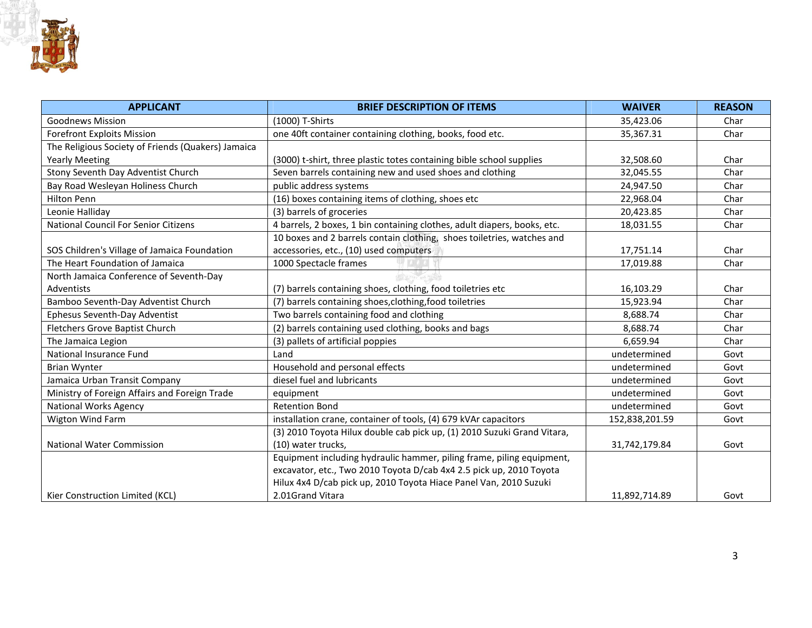

| <b>APPLICANT</b>                                   | <b>BRIEF DESCRIPTION OF ITEMS</b>                                        | <b>WAIVER</b>  | <b>REASON</b> |
|----------------------------------------------------|--------------------------------------------------------------------------|----------------|---------------|
| <b>Goodnews Mission</b>                            | (1000) T-Shirts                                                          | 35,423.06      | Char          |
| <b>Forefront Exploits Mission</b>                  | one 40ft container containing clothing, books, food etc.                 | 35,367.31      | Char          |
| The Religious Society of Friends (Quakers) Jamaica |                                                                          |                |               |
| <b>Yearly Meeting</b>                              | (3000) t-shirt, three plastic totes containing bible school supplies     | 32,508.60      | Char          |
| Stony Seventh Day Adventist Church                 | Seven barrels containing new and used shoes and clothing                 | 32,045.55      | Char          |
| Bay Road Wesleyan Holiness Church                  | public address systems                                                   | 24,947.50      | Char          |
| <b>Hilton Penn</b>                                 | (16) boxes containing items of clothing, shoes etc                       | 22,968.04      | Char          |
| Leonie Halliday                                    | (3) barrels of groceries                                                 | 20,423.85      | Char          |
| National Council For Senior Citizens               | 4 barrels, 2 boxes, 1 bin containing clothes, adult diapers, books, etc. | 18,031.55      | Char          |
|                                                    | 10 boxes and 2 barrels contain clothing, shoes toiletries, watches and   |                |               |
| SOS Children's Village of Jamaica Foundation       | accessories, etc., (10) used computers                                   | 17,751.14      | Char          |
| The Heart Foundation of Jamaica                    | 1000 Spectacle frames                                                    | 17,019.88      | Char          |
| North Jamaica Conference of Seventh-Day            |                                                                          |                |               |
| Adventists                                         | (7) barrels containing shoes, clothing, food toiletries etc              | 16,103.29      | Char          |
| Bamboo Seventh-Day Adventist Church                | (7) barrels containing shoes, clothing, food toiletries                  | 15,923.94      | Char          |
| <b>Ephesus Seventh-Day Adventist</b>               | Two barrels containing food and clothing                                 | 8,688.74       | Char          |
| Fletchers Grove Baptist Church                     | (2) barrels containing used clothing, books and bags                     | 8,688.74       | Char          |
| The Jamaica Legion                                 | (3) pallets of artificial poppies                                        | 6,659.94       | Char          |
| National Insurance Fund                            | Land                                                                     | undetermined   | Govt          |
| <b>Brian Wynter</b>                                | Household and personal effects                                           | undetermined   | Govt          |
| Jamaica Urban Transit Company                      | diesel fuel and lubricants                                               | undetermined   | Govt          |
| Ministry of Foreign Affairs and Foreign Trade      | equipment                                                                | undetermined   | Govt          |
| National Works Agency                              | <b>Retention Bond</b>                                                    | undetermined   | Govt          |
| Wigton Wind Farm                                   | installation crane, container of tools, (4) 679 kVAr capacitors          | 152,838,201.59 | Govt          |
|                                                    | (3) 2010 Toyota Hilux double cab pick up, (1) 2010 Suzuki Grand Vitara,  |                |               |
| <b>National Water Commission</b>                   | (10) water trucks,                                                       | 31,742,179.84  | Govt          |
|                                                    | Equipment including hydraulic hammer, piling frame, piling equipment,    |                |               |
|                                                    | excavator, etc., Two 2010 Toyota D/cab 4x4 2.5 pick up, 2010 Toyota      |                |               |
|                                                    | Hilux 4x4 D/cab pick up, 2010 Toyota Hiace Panel Van, 2010 Suzuki        |                |               |
| Kier Construction Limited (KCL)                    | 2.01Grand Vitara                                                         | 11,892,714.89  | Govt          |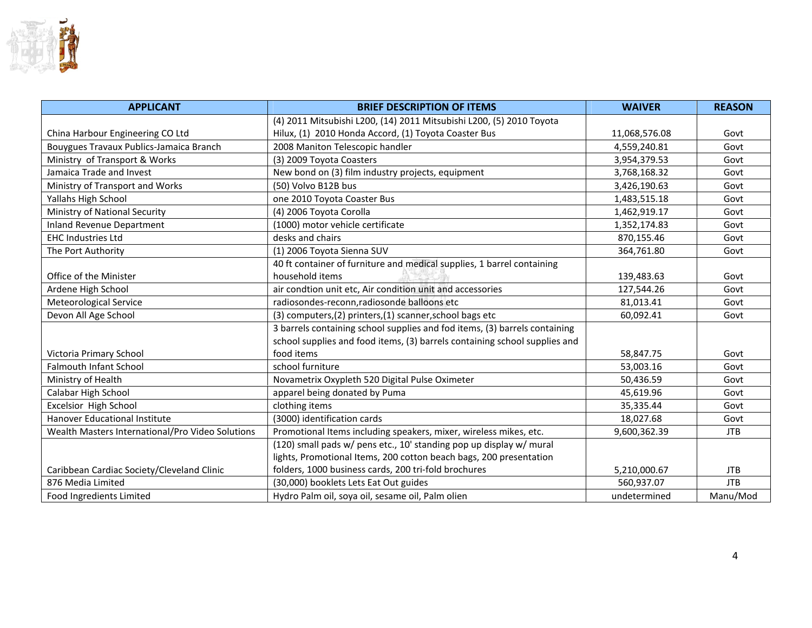

| <b>APPLICANT</b>                                 | <b>BRIEF DESCRIPTION OF ITEMS</b>                                          | <b>WAIVER</b> | <b>REASON</b> |
|--------------------------------------------------|----------------------------------------------------------------------------|---------------|---------------|
|                                                  | (4) 2011 Mitsubishi L200, (14) 2011 Mitsubishi L200, (5) 2010 Toyota       |               |               |
| China Harbour Engineering CO Ltd                 | Hilux, (1) 2010 Honda Accord, (1) Toyota Coaster Bus                       | 11,068,576.08 | Govt          |
| Bouygues Travaux Publics-Jamaica Branch          | 2008 Maniton Telescopic handler                                            | 4,559,240.81  | Govt          |
| Ministry of Transport & Works                    | (3) 2009 Toyota Coasters                                                   | 3,954,379.53  | Govt          |
| Jamaica Trade and Invest                         | New bond on (3) film industry projects, equipment                          | 3,768,168.32  | Govt          |
| Ministry of Transport and Works                  | (50) Volvo B12B bus                                                        | 3,426,190.63  | Govt          |
| Yallahs High School                              | one 2010 Toyota Coaster Bus                                                | 1,483,515.18  | Govt          |
| Ministry of National Security                    | (4) 2006 Toyota Corolla                                                    | 1,462,919.17  | Govt          |
| Inland Revenue Department                        | (1000) motor vehicle certificate                                           | 1,352,174.83  | Govt          |
| <b>EHC Industries Ltd</b>                        | desks and chairs                                                           | 870,155.46    | Govt          |
| The Port Authority                               | (1) 2006 Toyota Sienna SUV                                                 | 364,761.80    | Govt          |
|                                                  | 40 ft container of furniture and medical supplies, 1 barrel containing     |               |               |
| Office of the Minister                           | household items                                                            | 139,483.63    | Govt          |
| Ardene High School                               | air condtion unit etc, Air condition unit and accessories                  | 127,544.26    | Govt          |
| Meteorological Service                           | radiosondes-reconn, radiosonde balloons etc                                | 81,013.41     | Govt          |
| Devon All Age School                             | (3) computers, (2) printers, (1) scanner, school bags etc                  | 60,092.41     | Govt          |
|                                                  | 3 barrels containing school supplies and fod items, (3) barrels containing |               |               |
|                                                  | school supplies and food items, (3) barrels containing school supplies and |               |               |
| Victoria Primary School                          | food items                                                                 | 58,847.75     | Govt          |
| <b>Falmouth Infant School</b>                    | school furniture                                                           | 53,003.16     | Govt          |
| Ministry of Health                               | Novametrix Oxypleth 520 Digital Pulse Oximeter                             | 50,436.59     | Govt          |
| Calabar High School                              | apparel being donated by Puma                                              | 45,619.96     | Govt          |
| Excelsior High School                            | clothing items                                                             | 35,335.44     | Govt          |
| Hanover Educational Institute                    | (3000) identification cards                                                | 18,027.68     | Govt          |
| Wealth Masters International/Pro Video Solutions | Promotional Items including speakers, mixer, wireless mikes, etc.          | 9,600,362.39  | <b>JTB</b>    |
|                                                  | (120) small pads w/ pens etc., 10' standing pop up display w/ mural        |               |               |
|                                                  | lights, Promotional Items, 200 cotton beach bags, 200 presentation         |               |               |
| Caribbean Cardiac Society/Cleveland Clinic       | folders, 1000 business cards, 200 tri-fold brochures                       | 5,210,000.67  | <b>JTB</b>    |
| 876 Media Limited                                | (30,000) booklets Lets Eat Out guides                                      | 560,937.07    | <b>JTB</b>    |
| Food Ingredients Limited                         | Hydro Palm oil, soya oil, sesame oil, Palm olien                           | undetermined  | Manu/Mod      |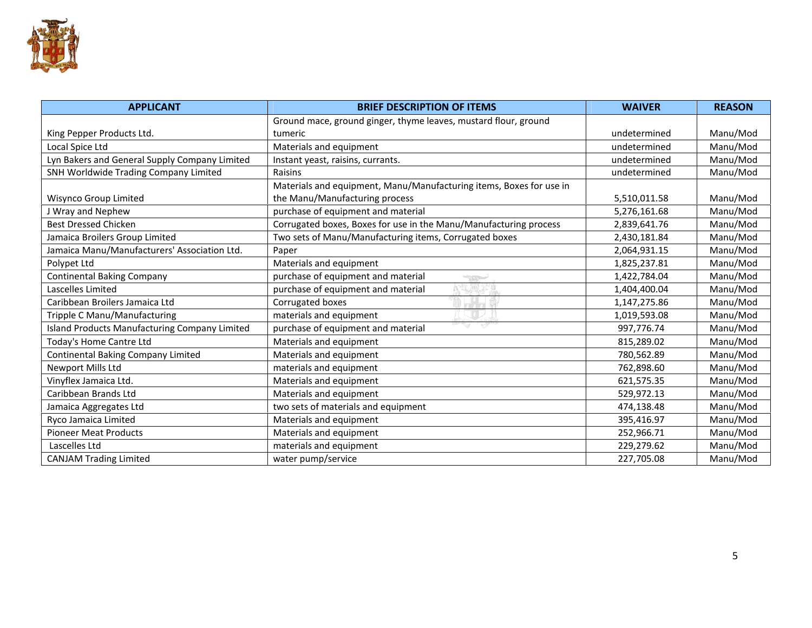

| <b>APPLICANT</b>                              | <b>BRIEF DESCRIPTION OF ITEMS</b>                                   | <b>WAIVER</b> | <b>REASON</b> |
|-----------------------------------------------|---------------------------------------------------------------------|---------------|---------------|
|                                               | Ground mace, ground ginger, thyme leaves, mustard flour, ground     |               |               |
| King Pepper Products Ltd.                     | tumeric                                                             | undetermined  | Manu/Mod      |
| Local Spice Ltd                               | Materials and equipment                                             | undetermined  | Manu/Mod      |
| Lyn Bakers and General Supply Company Limited | Instant yeast, raisins, currants.                                   | undetermined  | Manu/Mod      |
| SNH Worldwide Trading Company Limited         | Raisins                                                             | undetermined  | Manu/Mod      |
|                                               | Materials and equipment, Manu/Manufacturing items, Boxes for use in |               |               |
| Wisynco Group Limited                         | the Manu/Manufacturing process                                      | 5,510,011.58  | Manu/Mod      |
| J Wray and Nephew                             | purchase of equipment and material                                  | 5,276,161.68  | Manu/Mod      |
| <b>Best Dressed Chicken</b>                   | Corrugated boxes, Boxes for use in the Manu/Manufacturing process   | 2,839,641.76  | Manu/Mod      |
| Jamaica Broilers Group Limited                | Two sets of Manu/Manufacturing items, Corrugated boxes              | 2,430,181.84  | Manu/Mod      |
| Jamaica Manu/Manufacturers' Association Ltd.  | Paper                                                               | 2,064,931.15  | Manu/Mod      |
| Polypet Ltd                                   | Materials and equipment                                             | 1,825,237.81  | Manu/Mod      |
| <b>Continental Baking Company</b>             | purchase of equipment and material                                  | 1,422,784.04  | Manu/Mod      |
| Lascelles Limited                             | purchase of equipment and material                                  | 1,404,400.04  | Manu/Mod      |
| Caribbean Broilers Jamaica Ltd                | Corrugated boxes                                                    | 1,147,275.86  | Manu/Mod      |
| Tripple C Manu/Manufacturing                  | materials and equipment                                             | 1,019,593.08  | Manu/Mod      |
| Island Products Manufacturing Company Limited | W<br>-907<br>purchase of equipment and material                     | 997,776.74    | Manu/Mod      |
| Today's Home Cantre Ltd                       | Materials and equipment                                             | 815,289.02    | Manu/Mod      |
| Continental Baking Company Limited            | Materials and equipment                                             | 780,562.89    | Manu/Mod      |
| Newport Mills Ltd                             | materials and equipment                                             | 762,898.60    | Manu/Mod      |
| Vinyflex Jamaica Ltd.                         | Materials and equipment                                             | 621,575.35    | Manu/Mod      |
| Caribbean Brands Ltd                          | Materials and equipment                                             | 529,972.13    | Manu/Mod      |
| Jamaica Aggregates Ltd                        | two sets of materials and equipment                                 | 474,138.48    | Manu/Mod      |
| Ryco Jamaica Limited                          | Materials and equipment                                             | 395,416.97    | Manu/Mod      |
| <b>Pioneer Meat Products</b>                  | Materials and equipment                                             | 252,966.71    | Manu/Mod      |
| Lascelles Ltd                                 | materials and equipment                                             | 229,279.62    | Manu/Mod      |
| <b>CANJAM Trading Limited</b>                 | water pump/service                                                  | 227,705.08    | Manu/Mod      |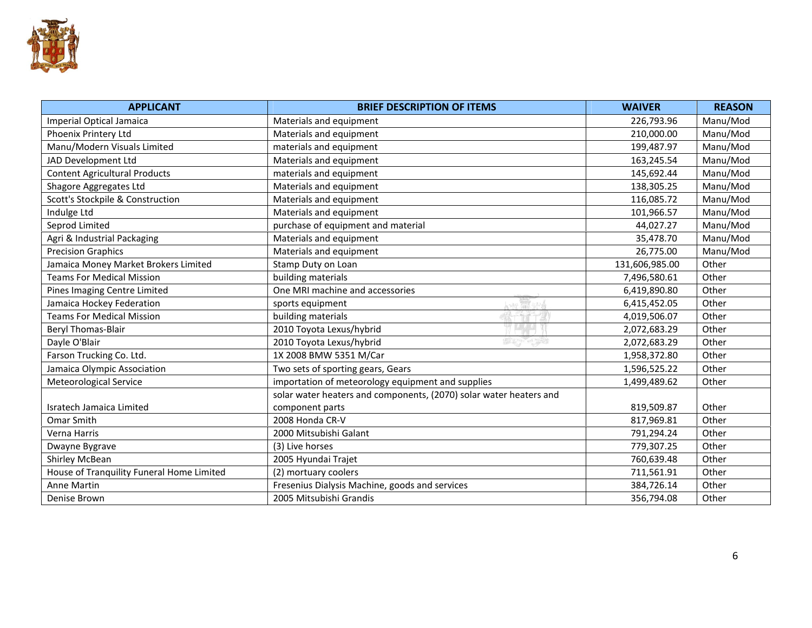

| <b>APPLICANT</b>                          | <b>BRIEF DESCRIPTION OF ITEMS</b>                                  | <b>WAIVER</b>  | <b>REASON</b> |
|-------------------------------------------|--------------------------------------------------------------------|----------------|---------------|
| Imperial Optical Jamaica                  | Materials and equipment                                            | 226,793.96     | Manu/Mod      |
| Phoenix Printery Ltd                      | Materials and equipment                                            | 210,000.00     | Manu/Mod      |
| Manu/Modern Visuals Limited               | materials and equipment                                            | 199,487.97     | Manu/Mod      |
| JAD Development Ltd                       | Materials and equipment                                            | 163,245.54     | Manu/Mod      |
| <b>Content Agricultural Products</b>      | materials and equipment                                            | 145,692.44     | Manu/Mod      |
| Shagore Aggregates Ltd                    | Materials and equipment                                            | 138,305.25     | Manu/Mod      |
| Scott's Stockpile & Construction          | Materials and equipment                                            | 116,085.72     | Manu/Mod      |
| Indulge Ltd                               | Materials and equipment                                            | 101,966.57     | Manu/Mod      |
| Seprod Limited                            | purchase of equipment and material                                 | 44,027.27      | Manu/Mod      |
| Agri & Industrial Packaging               | Materials and equipment                                            | 35,478.70      | Manu/Mod      |
| <b>Precision Graphics</b>                 | Materials and equipment                                            | 26,775.00      | Manu/Mod      |
| Jamaica Money Market Brokers Limited      | Stamp Duty on Loan                                                 | 131,606,985.00 | Other         |
| <b>Teams For Medical Mission</b>          | building materials                                                 | 7,496,580.61   | Other         |
| Pines Imaging Centre Limited              | One MRI machine and accessories                                    | 6,419,890.80   | Other         |
| Jamaica Hockey Federation                 | m<br>sports equipment                                              | 6,415,452.05   | Other         |
| <b>Teams For Medical Mission</b>          | building materials                                                 | 4,019,506.07   | Other         |
| <b>Beryl Thomas-Blair</b>                 | 2010 Toyota Lexus/hybrid                                           | 2,072,683.29   | Other         |
| Dayle O'Blair                             | ONE PEOPLE<br><b>OUT OF MAN</b><br>2010 Toyota Lexus/hybrid        | 2,072,683.29   | Other         |
| Farson Trucking Co. Ltd.                  | 1X 2008 BMW 5351 M/Car                                             | 1,958,372.80   | Other         |
| Jamaica Olympic Association               | Two sets of sporting gears, Gears                                  | 1,596,525.22   | Other         |
| Meteorological Service                    | importation of meteorology equipment and supplies                  | 1,499,489.62   | Other         |
|                                           | solar water heaters and components, (2070) solar water heaters and |                |               |
| Isratech Jamaica Limited                  | component parts                                                    | 819,509.87     | Other         |
| Omar Smith                                | 2008 Honda CR-V                                                    | 817,969.81     | Other         |
| Verna Harris                              | 2000 Mitsubishi Galant                                             | 791,294.24     | Other         |
| Dwayne Bygrave                            | (3) Live horses                                                    | 779,307.25     | Other         |
| Shirley McBean                            | 2005 Hyundai Trajet                                                | 760,639.48     | Other         |
| House of Tranquility Funeral Home Limited | (2) mortuary coolers                                               | 711,561.91     | Other         |
| Anne Martin                               | Fresenius Dialysis Machine, goods and services                     | 384,726.14     | Other         |
| Denise Brown                              | 2005 Mitsubishi Grandis                                            | 356,794.08     | Other         |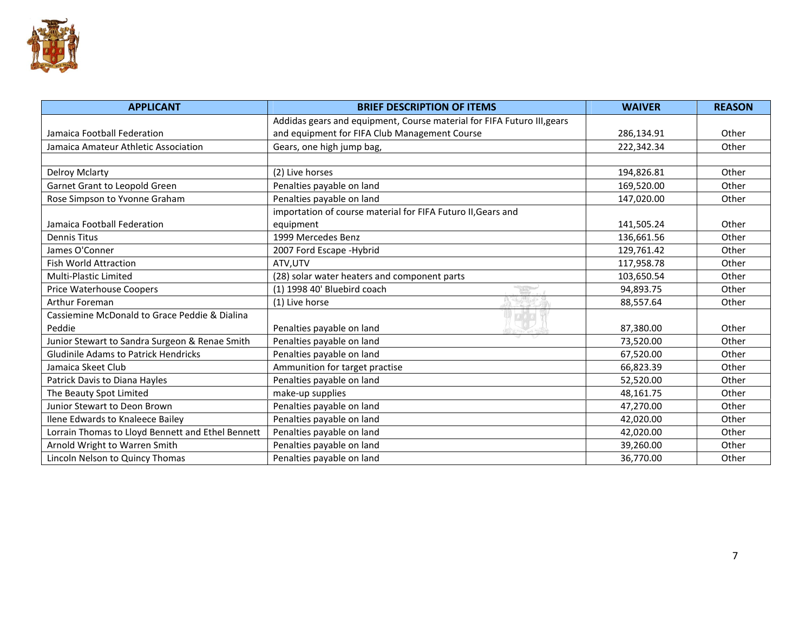

| <b>APPLICANT</b>                                  | <b>WAIVER</b>                                                           | <b>REASON</b> |       |
|---------------------------------------------------|-------------------------------------------------------------------------|---------------|-------|
|                                                   | Addidas gears and equipment, Course material for FIFA Futuro III, gears |               |       |
| Jamaica Football Federation                       | and equipment for FIFA Club Management Course                           | 286,134.91    | Other |
| Jamaica Amateur Athletic Association              | Gears, one high jump bag,                                               | 222,342.34    | Other |
| <b>Delroy Mclarty</b>                             | (2) Live horses                                                         | 194,826.81    | Other |
| Garnet Grant to Leopold Green                     | Penalties payable on land                                               | 169,520.00    | Other |
| Rose Simpson to Yvonne Graham                     | Penalties payable on land                                               | 147,020.00    | Other |
|                                                   | importation of course material for FIFA Futuro II, Gears and            |               |       |
| Jamaica Football Federation                       | equipment                                                               | 141,505.24    | Other |
| <b>Dennis Titus</b>                               | 1999 Mercedes Benz                                                      | 136,661.56    | Other |
| James O'Conner                                    | 2007 Ford Escape - Hybrid                                               | 129,761.42    | Other |
| <b>Fish World Attraction</b>                      | ATV, UTV                                                                | 117,958.78    | Other |
| <b>Multi-Plastic Limited</b>                      | (28) solar water heaters and component parts                            | 103,650.54    | Other |
| <b>Price Waterhouse Coopers</b>                   | (1) 1998 40' Bluebird coach                                             | 94,893.75     | Other |
| <b>Arthur Foreman</b>                             | (1) Live horse                                                          | 88,557.64     | Other |
| Cassiemine McDonald to Grace Peddie & Dialina     |                                                                         |               |       |
| Peddie                                            | Penalties payable on land                                               | 87,380.00     | Other |
| Junior Stewart to Sandra Surgeon & Renae Smith    | Penalties payable on land                                               | 73,520.00     | Other |
| <b>Gludinile Adams to Patrick Hendricks</b>       | Penalties payable on land                                               | 67,520.00     | Other |
| Jamaica Skeet Club                                | Ammunition for target practise                                          | 66,823.39     | Other |
| Patrick Davis to Diana Hayles                     | Penalties payable on land                                               | 52,520.00     | Other |
| The Beauty Spot Limited                           | make-up supplies                                                        | 48,161.75     | Other |
| Junior Stewart to Deon Brown                      | Penalties payable on land                                               | 47,270.00     | Other |
| Ilene Edwards to Knaleece Bailey                  | Penalties payable on land                                               | 42,020.00     | Other |
| Lorrain Thomas to Lloyd Bennett and Ethel Bennett | Penalties payable on land                                               | 42,020.00     | Other |
| Arnold Wright to Warren Smith                     | Penalties payable on land                                               | 39,260.00     | Other |
| Lincoln Nelson to Quincy Thomas                   | Penalties payable on land                                               | 36.770.00     | Other |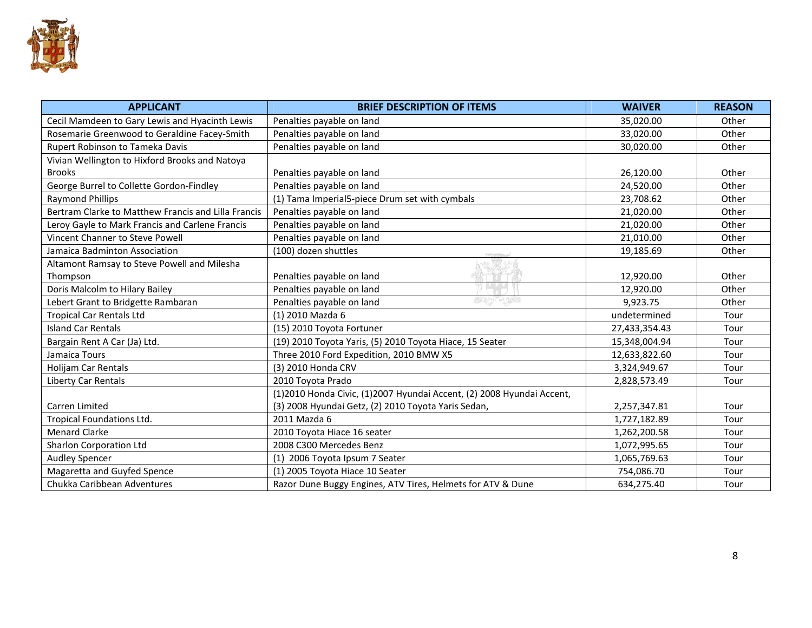

| <b>APPLICANT</b>                                    | <b>BRIEF DESCRIPTION OF ITEMS</b>                                     | <b>WAIVER</b> | <b>REASON</b> |
|-----------------------------------------------------|-----------------------------------------------------------------------|---------------|---------------|
| Cecil Mamdeen to Gary Lewis and Hyacinth Lewis      | Penalties payable on land                                             | 35,020.00     | Other         |
| Rosemarie Greenwood to Geraldine Facey-Smith        | Penalties payable on land                                             | 33,020.00     | Other         |
| Rupert Robinson to Tameka Davis                     | Penalties payable on land                                             | 30,020.00     | Other         |
| Vivian Wellington to Hixford Brooks and Natoya      |                                                                       |               |               |
| <b>Brooks</b>                                       | Penalties payable on land                                             | 26,120.00     | Other         |
| George Burrel to Collette Gordon-Findley            | Penalties payable on land                                             | 24,520.00     | Other         |
| <b>Raymond Phillips</b>                             | (1) Tama Imperial5-piece Drum set with cymbals                        | 23,708.62     | Other         |
| Bertram Clarke to Matthew Francis and Lilla Francis | Penalties payable on land                                             | 21,020.00     | Other         |
| Leroy Gayle to Mark Francis and Carlene Francis     | Penalties payable on land                                             | 21,020.00     | Other         |
| Vincent Channer to Steve Powell                     | Penalties payable on land                                             | 21,010.00     | Other         |
| Jamaica Badminton Association                       | (100) dozen shuttles                                                  | 19,185.69     | Other         |
| Altamont Ramsay to Steve Powell and Milesha         |                                                                       |               |               |
| Thompson                                            | Penalties payable on land                                             | 12,920.00     | Other         |
| Doris Malcolm to Hilary Bailey                      | Penalties payable on land                                             | 12,920.00     | Other         |
| Lebert Grant to Bridgette Rambaran                  | OUT OF MANY ONE PLONE<br>Penalties payable on land                    | 9,923.75      | Other         |
| <b>Tropical Car Rentals Ltd</b>                     | (1) 2010 Mazda 6                                                      | undetermined  | Tour          |
| <b>Island Car Rentals</b>                           | (15) 2010 Toyota Fortuner                                             | 27,433,354.43 | Tour          |
| Bargain Rent A Car (Ja) Ltd.                        | (19) 2010 Toyota Yaris, (5) 2010 Toyota Hiace, 15 Seater              | 15,348,004.94 | Tour          |
| Jamaica Tours                                       | Three 2010 Ford Expedition, 2010 BMW X5                               | 12,633,822.60 | Tour          |
| Holijam Car Rentals                                 | (3) 2010 Honda CRV                                                    | 3,324,949.67  | Tour          |
| Liberty Car Rentals                                 | 2010 Toyota Prado                                                     | 2,828,573.49  | Tour          |
|                                                     | (1)2010 Honda Civic, (1)2007 Hyundai Accent, (2) 2008 Hyundai Accent, |               |               |
| Carren Limited                                      | (3) 2008 Hyundai Getz, (2) 2010 Toyota Yaris Sedan,                   | 2,257,347.81  | Tour          |
| Tropical Foundations Ltd.                           | 2011 Mazda 6                                                          | 1,727,182.89  | Tour          |
| <b>Menard Clarke</b>                                | 2010 Toyota Hiace 16 seater                                           | 1,262,200.58  | Tour          |
| Sharlon Corporation Ltd                             | 2008 C300 Mercedes Benz                                               | 1,072,995.65  | Tour          |
| <b>Audley Spencer</b>                               | (1) 2006 Toyota Ipsum 7 Seater                                        | 1,065,769.63  | Tour          |
| Magaretta and Guyfed Spence                         | (1) 2005 Toyota Hiace 10 Seater                                       | 754,086.70    | Tour          |
| Chukka Caribbean Adventures                         | Razor Dune Buggy Engines, ATV Tires, Helmets for ATV & Dune           | 634,275.40    | Tour          |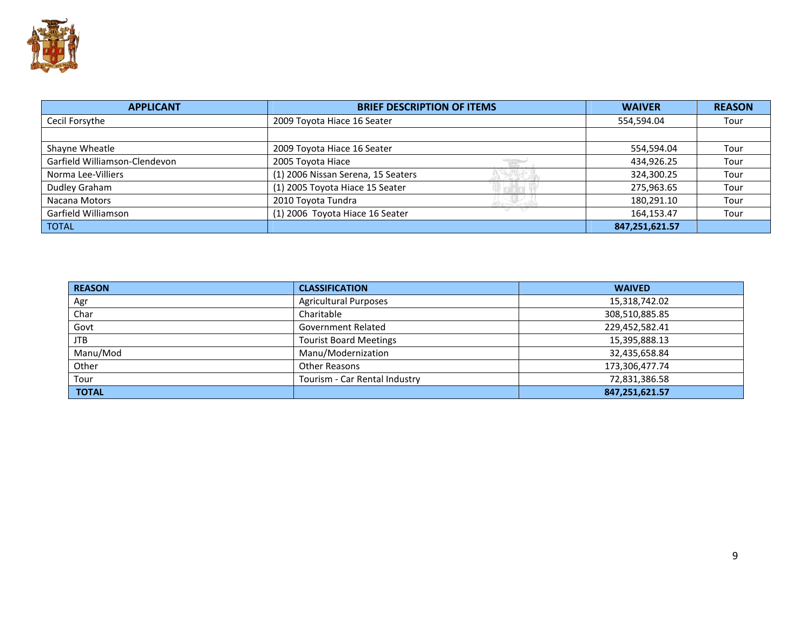

| <b>APPLICANT</b>              | <b>BRIEF DESCRIPTION OF ITEMS</b>  | <b>WAIVER</b>  | <b>REASON</b> |
|-------------------------------|------------------------------------|----------------|---------------|
| Cecil Forsythe                | 2009 Toyota Hiace 16 Seater        | 554,594.04     | Tour          |
|                               |                                    |                |               |
| Shayne Wheatle                | 2009 Toyota Hiace 16 Seater        | 554,594.04     | Tour          |
| Garfield Williamson-Clendevon | 2005 Toyota Hiace                  | 434,926.25     | Tour          |
| Norma Lee-Villiers            | (1) 2006 Nissan Serena, 15 Seaters | 324,300.25     | Tour          |
| Dudley Graham                 | (1) 2005 Toyota Hiace 15 Seater    | 275,963.65     | Tour          |
| Nacana Motors                 | 2010 Toyota Tundra                 | 180,291.10     | Tour          |
| Garfield Williamson           | (1) 2006 Toyota Hiace 16 Seater    | 164,153.47     | Tour          |
| <b>TOTAL</b>                  |                                    | 847,251,621.57 |               |

| <b>REASON</b> | <b>CLASSIFICATION</b>         | <b>WAIVED</b>  |
|---------------|-------------------------------|----------------|
| Agr           | <b>Agricultural Purposes</b>  | 15,318,742.02  |
| Char          | Charitable                    | 308,510,885.85 |
| Govt          | <b>Government Related</b>     | 229,452,582.41 |
| <b>JTB</b>    | <b>Tourist Board Meetings</b> | 15,395,888.13  |
| Manu/Mod      | Manu/Modernization            | 32,435,658.84  |
| Other         | Other Reasons                 | 173,306,477.74 |
| Tour          | Tourism - Car Rental Industry | 72,831,386.58  |
| <b>TOTAL</b>  |                               | 847,251,621.57 |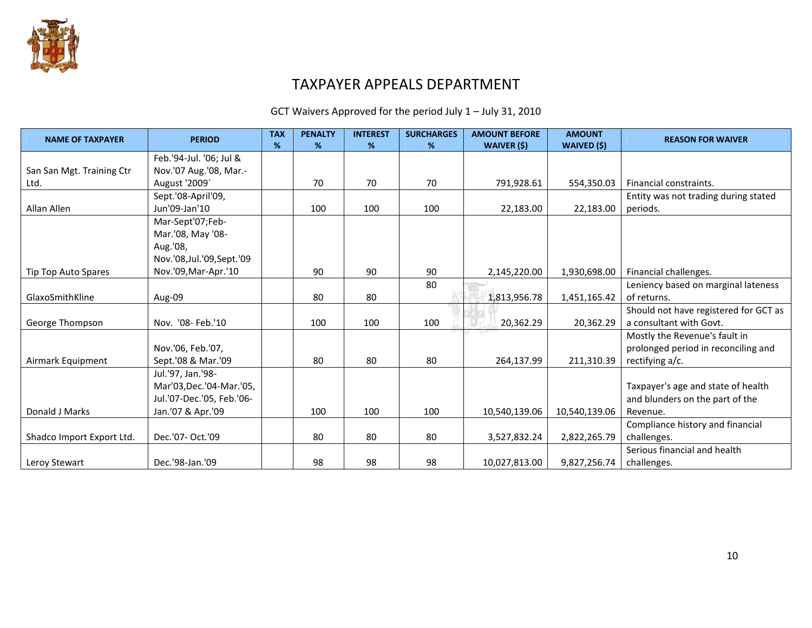

### TAXPAYER APPEALS DEPARTMENT

GCT Waivers Approved for the period July 1 – July 31, 2010

| <b>NAME OF TAXPAYER</b>   | <b>PERIOD</b>              | <b>TAX</b><br>% | <b>PENALTY</b><br>% | <b>INTEREST</b><br>% | <b>SURCHARGES</b><br>% | <b>AMOUNT BEFORE</b><br><b>WAIVER (\$)</b> | <b>AMOUNT</b><br><b>WAIVED (\$)</b> | <b>REASON FOR WAIVER</b>              |
|---------------------------|----------------------------|-----------------|---------------------|----------------------|------------------------|--------------------------------------------|-------------------------------------|---------------------------------------|
|                           | Feb.'94-Jul. '06; Jul &    |                 |                     |                      |                        |                                            |                                     |                                       |
| San San Mgt. Training Ctr | Nov.'07 Aug.'08, Mar.-     |                 |                     |                      |                        |                                            |                                     |                                       |
| Ltd.                      | August '2009'              |                 | 70                  | 70                   | 70                     | 791,928.61                                 | 554,350.03                          | Financial constraints.                |
|                           | Sept.'08-April'09,         |                 |                     |                      |                        |                                            |                                     | Entity was not trading during stated  |
| Allan Allen               | Jun'09-Jan'10              |                 | 100                 | 100                  | 100                    | 22,183.00                                  | 22,183.00                           | periods.                              |
|                           | Mar-Sept'07;Feb-           |                 |                     |                      |                        |                                            |                                     |                                       |
|                           | Mar.'08, May '08-          |                 |                     |                      |                        |                                            |                                     |                                       |
|                           | Aug.'08,                   |                 |                     |                      |                        |                                            |                                     |                                       |
|                           | Nov.'08, Jul.'09, Sept.'09 |                 |                     |                      |                        |                                            |                                     |                                       |
| Tip Top Auto Spares       | Nov.'09, Mar-Apr.'10       |                 | 90                  | 90                   | 90                     | 2,145,220.00                               | 1,930,698.00                        | Financial challenges.                 |
|                           |                            |                 |                     |                      | 80                     |                                            |                                     | Leniency based on marginal lateness   |
| GlaxoSmithKline           | Aug-09                     |                 | 80                  | 80                   |                        | 1,813,956.78                               | 1,451,165.42                        | of returns.                           |
|                           |                            |                 |                     |                      |                        |                                            |                                     | Should not have registered for GCT as |
| George Thompson           | Nov. '08- Feb.'10          |                 | 100                 | 100                  | 100                    | 20,362.29                                  | 20,362.29                           | a consultant with Govt.               |
|                           |                            |                 |                     |                      |                        |                                            |                                     | Mostly the Revenue's fault in         |
|                           | Nov.'06, Feb.'07,          |                 |                     |                      |                        |                                            |                                     | prolonged period in reconciling and   |
| Airmark Equipment         | Sept.'08 & Mar.'09         |                 | 80                  | 80                   | 80                     | 264,137.99                                 | 211,310.39                          | rectifying a/c.                       |
|                           | Jul.'97, Jan.'98-          |                 |                     |                      |                        |                                            |                                     |                                       |
|                           | Mar'03, Dec.'04-Mar.'05,   |                 |                     |                      |                        |                                            |                                     | Taxpayer's age and state of health    |
|                           | Jul.'07-Dec.'05, Feb.'06-  |                 |                     |                      |                        |                                            |                                     | and blunders on the part of the       |
| Donald J Marks            | Jan.'07 & Apr.'09          |                 | 100                 | 100                  | 100                    | 10,540,139.06                              | 10,540,139.06                       | Revenue.                              |
|                           |                            |                 |                     |                      |                        |                                            |                                     | Compliance history and financial      |
| Shadco Import Export Ltd. | Dec.'07- Oct.'09           |                 | 80                  | 80                   | 80                     | 3,527,832.24                               | 2,822,265.79                        | challenges.                           |
|                           |                            |                 |                     |                      |                        |                                            |                                     | Serious financial and health          |
| Leroy Stewart             | Dec.'98-Jan.'09            |                 | 98                  | 98                   | 98                     | 10,027,813.00                              | 9,827,256.74                        | challenges.                           |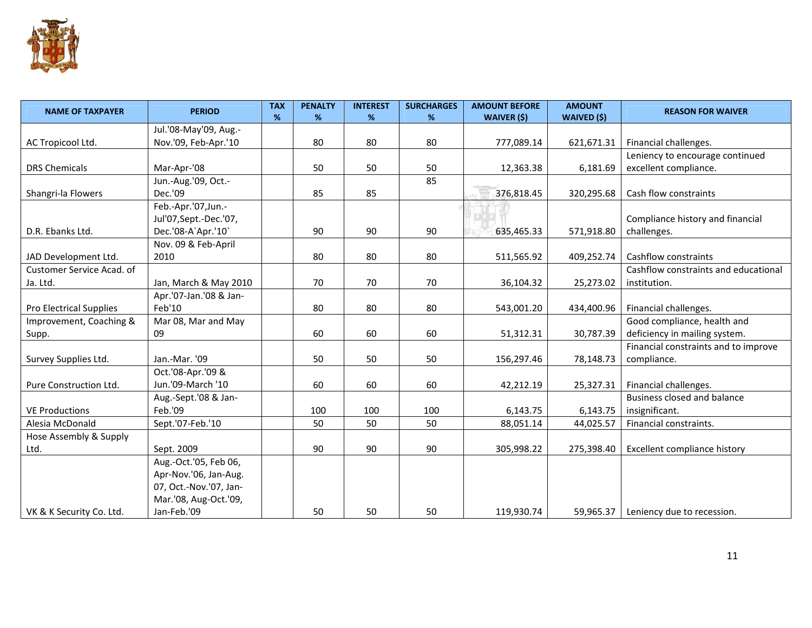

| <b>NAME OF TAXPAYER</b>   | <b>PERIOD</b>             | <b>TAX</b><br>% | <b>PENALTY</b><br>% | <b>INTEREST</b><br>% | <b>SURCHARGES</b><br>% | <b>AMOUNT BEFORE</b><br><b>WAIVER (\$)</b> | <b>AMOUNT</b><br>WAIVED (\$) | <b>REASON FOR WAIVER</b>             |
|---------------------------|---------------------------|-----------------|---------------------|----------------------|------------------------|--------------------------------------------|------------------------------|--------------------------------------|
|                           | Jul.'08-May'09, Aug.-     |                 |                     |                      |                        |                                            |                              |                                      |
| AC Tropicool Ltd.         | Nov.'09, Feb-Apr.'10      |                 | 80                  | 80                   | 80                     | 777,089.14                                 | 621,671.31                   | Financial challenges.                |
|                           |                           |                 |                     |                      |                        |                                            |                              | Leniency to encourage continued      |
| <b>DRS Chemicals</b>      | Mar-Apr-'08               |                 | 50                  | 50                   | 50                     | 12,363.38                                  | 6,181.69                     | excellent compliance.                |
|                           | Jun.-Aug.'09, Oct.-       |                 |                     |                      | 85                     |                                            |                              |                                      |
| Shangri-la Flowers        | Dec.'09                   |                 | 85                  | 85                   |                        | 376,818.45                                 | 320,295.68                   | Cash flow constraints                |
|                           | Feb.-Apr.'07,Jun.-        |                 |                     |                      |                        |                                            |                              |                                      |
|                           | Jul'07, Sept. - Dec. '07, |                 |                     |                      |                        |                                            |                              | Compliance history and financial     |
| D.R. Ebanks Ltd.          | Dec.'08-A'Apr.'10'        |                 | 90                  | 90                   | 90                     | 635,465.33                                 | 571,918.80                   | challenges.                          |
|                           | Nov. 09 & Feb-April       |                 |                     |                      |                        |                                            |                              |                                      |
| JAD Development Ltd.      | 2010                      |                 | 80                  | 80                   | 80                     | 511,565.92                                 | 409,252.74                   | Cashflow constraints                 |
| Customer Service Acad. of |                           |                 |                     |                      |                        |                                            |                              | Cashflow constraints and educational |
| Ja. Ltd.                  | Jan, March & May 2010     |                 | 70                  | 70                   | 70                     | 36,104.32                                  | 25,273.02                    | institution.                         |
|                           | Apr.'07-Jan.'08 & Jan-    |                 |                     |                      |                        |                                            |                              |                                      |
| Pro Electrical Supplies   | Feb'10                    |                 | 80                  | 80                   | 80                     | 543,001.20                                 | 434,400.96                   | Financial challenges.                |
| Improvement, Coaching &   | Mar 08, Mar and May       |                 |                     |                      |                        |                                            |                              | Good compliance, health and          |
| Supp.                     | 09                        |                 | 60                  | 60                   | 60                     | 51,312.31                                  | 30,787.39                    | deficiency in mailing system.        |
|                           |                           |                 |                     |                      |                        |                                            |                              | Financial constraints and to improve |
| Survey Supplies Ltd.      | Jan.-Mar. '09             |                 | 50                  | 50                   | 50                     | 156,297.46                                 | 78,148.73                    | compliance.                          |
|                           | Oct.'08-Apr.'09 &         |                 |                     |                      |                        |                                            |                              |                                      |
| Pure Construction Ltd.    | Jun.'09-March '10         |                 | 60                  | 60                   | 60                     | 42,212.19                                  | 25,327.31                    | Financial challenges.                |
|                           | Aug.-Sept.'08 & Jan-      |                 |                     |                      |                        |                                            |                              | Business closed and balance          |
| <b>VE Productions</b>     | Feb.'09                   |                 | 100                 | 100                  | 100                    | 6,143.75                                   | 6,143.75                     | insignificant.                       |
| Alesia McDonald           | Sept.'07-Feb.'10          |                 | 50                  | 50                   | 50                     | 88,051.14                                  | 44,025.57                    | Financial constraints.               |
| Hose Assembly & Supply    |                           |                 |                     |                      |                        |                                            |                              |                                      |
| Ltd.                      | Sept. 2009                |                 | 90                  | 90                   | 90                     | 305,998.22                                 | 275,398.40                   | Excellent compliance history         |
|                           | Aug.-Oct.'05, Feb 06,     |                 |                     |                      |                        |                                            |                              |                                      |
|                           | Apr-Nov.'06, Jan-Aug.     |                 |                     |                      |                        |                                            |                              |                                      |
|                           | 07, Oct.-Nov.'07, Jan-    |                 |                     |                      |                        |                                            |                              |                                      |
|                           | Mar.'08, Aug-Oct.'09,     |                 |                     |                      |                        |                                            |                              |                                      |
| VK & K Security Co. Ltd.  | Jan-Feb.'09               |                 | 50                  | 50                   | 50                     | 119,930.74                                 | 59,965.37                    | Leniency due to recession.           |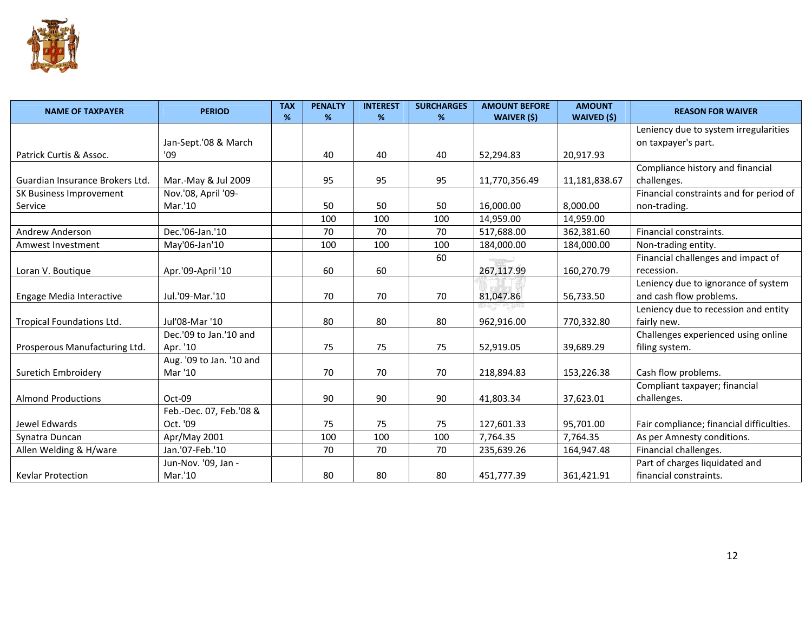

| <b>NAME OF TAXPAYER</b>         | <b>PERIOD</b>            | <b>TAX</b><br>% | <b>PENALTY</b><br>% | <b>INTEREST</b><br>% | <b>SURCHARGES</b><br>% | <b>AMOUNT BEFORE</b><br><b>WAIVER (\$)</b> | <b>AMOUNT</b><br>WAIVED (\$) | <b>REASON FOR WAIVER</b>                 |
|---------------------------------|--------------------------|-----------------|---------------------|----------------------|------------------------|--------------------------------------------|------------------------------|------------------------------------------|
|                                 |                          |                 |                     |                      |                        |                                            |                              | Leniency due to system irregularities    |
|                                 | Jan-Sept.'08 & March     |                 |                     |                      |                        |                                            |                              | on taxpayer's part.                      |
| Patrick Curtis & Assoc.         | '09                      |                 | 40                  | 40                   | 40                     | 52,294.83                                  | 20,917.93                    |                                          |
|                                 |                          |                 |                     |                      |                        |                                            |                              | Compliance history and financial         |
| Guardian Insurance Brokers Ltd. | Mar.-May & Jul 2009      |                 | 95                  | 95                   | 95                     | 11,770,356.49                              | 11,181,838.67                | challenges.                              |
| SK Business Improvement         | Nov.'08, April '09-      |                 |                     |                      |                        |                                            |                              | Financial constraints and for period of  |
| Service                         | Mar.'10                  |                 | 50                  | 50                   | 50                     | 16,000.00                                  | 8,000.00                     | non-trading.                             |
|                                 |                          |                 | 100                 | 100                  | 100                    | 14,959.00                                  | 14,959.00                    |                                          |
| <b>Andrew Anderson</b>          | Dec.'06-Jan.'10          |                 | 70                  | 70                   | 70                     | 517,688.00                                 | 362,381.60                   | Financial constraints.                   |
| Amwest Investment               | May'06-Jan'10            |                 | 100                 | 100                  | 100                    | 184.000.00                                 | 184,000.00                   | Non-trading entity.                      |
|                                 |                          |                 |                     |                      | 60                     |                                            |                              | Financial challenges and impact of       |
| Loran V. Boutique               | Apr.'09-April '10        |                 | 60                  | 60                   |                        | 267,117.99                                 | 160,270.79                   | recession.                               |
|                                 |                          |                 |                     |                      |                        |                                            |                              | Leniency due to ignorance of system      |
| Engage Media Interactive        | Jul.'09-Mar.'10          |                 | 70                  | 70                   | 70                     | 81,047.86                                  | 56,733.50                    | and cash flow problems.                  |
|                                 |                          |                 |                     |                      |                        |                                            |                              | Leniency due to recession and entity     |
| Tropical Foundations Ltd.       | Jul'08-Mar '10           |                 | 80                  | 80                   | 80                     | 962,916.00                                 | 770,332.80                   | fairly new.                              |
|                                 | Dec.'09 to Jan.'10 and   |                 |                     |                      |                        |                                            |                              | Challenges experienced using online      |
| Prosperous Manufacturing Ltd.   | Apr. '10                 |                 | 75                  | 75                   | 75                     | 52,919.05                                  | 39,689.29                    | filing system.                           |
|                                 | Aug. '09 to Jan. '10 and |                 |                     |                      |                        |                                            |                              |                                          |
| Suretich Embroidery             | Mar '10                  |                 | 70                  | 70                   | 70                     | 218,894.83                                 | 153,226.38                   | Cash flow problems.                      |
|                                 |                          |                 |                     |                      |                        |                                            |                              | Compliant taxpayer; financial            |
| <b>Almond Productions</b>       | $Oct-09$                 |                 | 90                  | 90                   | 90                     | 41,803.34                                  | 37,623.01                    | challenges.                              |
|                                 | Feb.-Dec. 07, Feb.'08 &  |                 |                     |                      |                        |                                            |                              |                                          |
| Jewel Edwards                   | Oct. '09                 |                 | 75                  | 75                   | 75                     | 127,601.33                                 | 95,701.00                    | Fair compliance; financial difficulties. |
| Synatra Duncan                  | Apr/May 2001             |                 | 100                 | 100                  | 100                    | 7,764.35                                   | 7,764.35                     | As per Amnesty conditions.               |
| Allen Welding & H/ware          | Jan.'07-Feb.'10          |                 | 70                  | 70                   | 70                     | 235,639.26                                 | 164,947.48                   | Financial challenges.                    |
|                                 | Jun-Nov. '09, Jan -      |                 |                     |                      |                        |                                            |                              | Part of charges liquidated and           |
| <b>Kevlar Protection</b>        | Mar.'10                  |                 | 80                  | 80                   | 80                     | 451,777.39                                 | 361,421.91                   | financial constraints.                   |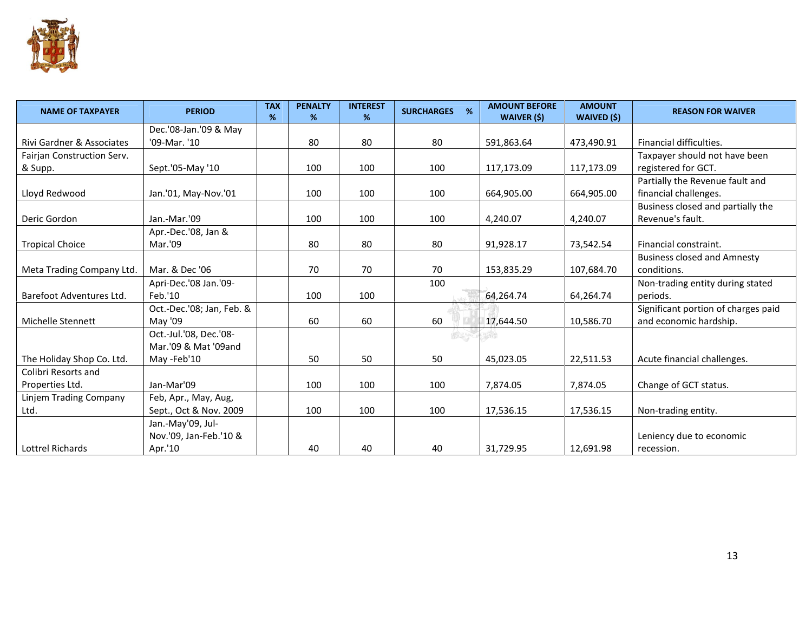

| <b>NAME OF TAXPAYER</b>    | <b>PERIOD</b>             | <b>TAX</b><br>% | <b>PENALTY</b><br>% | <b>INTEREST</b><br>% | %<br><b>SURCHARGES</b> | <b>AMOUNT BEFORE</b><br>WAIVER (\$) | <b>AMOUNT</b><br>WAIVED (\$) | <b>REASON FOR WAIVER</b>            |
|----------------------------|---------------------------|-----------------|---------------------|----------------------|------------------------|-------------------------------------|------------------------------|-------------------------------------|
|                            | Dec.'08-Jan.'09 & May     |                 |                     |                      |                        |                                     |                              |                                     |
| Rivi Gardner & Associates  | '09-Mar. '10              |                 | 80                  | 80                   | 80                     | 591,863.64                          | 473,490.91                   | Financial difficulties.             |
| Fairjan Construction Serv. |                           |                 |                     |                      |                        |                                     |                              | Taxpayer should not have been       |
| & Supp.                    | Sept.'05-May '10          |                 | 100                 | 100                  | 100                    | 117,173.09                          | 117,173.09                   | registered for GCT.                 |
|                            |                           |                 |                     |                      |                        |                                     |                              | Partially the Revenue fault and     |
| Lloyd Redwood              | Jan.'01, May-Nov.'01      |                 | 100                 | 100                  | 100                    | 664,905.00                          | 664,905.00                   | financial challenges.               |
|                            |                           |                 |                     |                      |                        |                                     |                              | Business closed and partially the   |
| Deric Gordon               | Jan.-Mar.'09              |                 | 100                 | 100                  | 100                    | 4,240.07                            | 4,240.07                     | Revenue's fault.                    |
|                            | Apr.-Dec.'08, Jan &       |                 |                     |                      |                        |                                     |                              |                                     |
| <b>Tropical Choice</b>     | Mar.'09                   |                 | 80                  | 80                   | 80                     | 91,928.17                           | 73,542.54                    | Financial constraint.               |
|                            |                           |                 |                     |                      |                        |                                     |                              | <b>Business closed and Amnesty</b>  |
| Meta Trading Company Ltd.  | Mar. & Dec '06            |                 | 70                  | 70                   | 70                     | 153,835.29                          | 107,684.70                   | conditions.                         |
|                            | Apri-Dec.'08 Jan.'09-     |                 |                     |                      | 100                    |                                     |                              | Non-trading entity during stated    |
| Barefoot Adventures Ltd.   | Feb.'10                   |                 | 100                 | 100                  |                        | 64,264.74                           | 64,264.74                    | periods.                            |
|                            | Oct.-Dec.'08; Jan, Feb. & |                 |                     |                      |                        |                                     |                              | Significant portion of charges paid |
| Michelle Stennett          | May '09                   |                 | 60                  | 60                   | 60                     | 17.644.50                           | 10,586.70                    | and economic hardship.              |
|                            | Oct.-Jul.'08, Dec.'08-    |                 |                     |                      | COL OF MANY OF         | $PEO_{PLE}$                         |                              |                                     |
|                            | Mar.'09 & Mat '09and      |                 |                     |                      |                        |                                     |                              |                                     |
| The Holiday Shop Co. Ltd.  | May -Feb'10               |                 | 50                  | 50                   | 50                     | 45,023.05                           | 22,511.53                    | Acute financial challenges.         |
| Colibri Resorts and        |                           |                 |                     |                      |                        |                                     |                              |                                     |
| Properties Ltd.            | Jan-Mar'09                |                 | 100                 | 100                  | 100                    | 7,874.05                            | 7,874.05                     | Change of GCT status.               |
| Linjem Trading Company     | Feb, Apr., May, Aug,      |                 |                     |                      |                        |                                     |                              |                                     |
| Ltd.                       | Sept., Oct & Nov. 2009    |                 | 100                 | 100                  | 100                    | 17,536.15                           | 17,536.15                    | Non-trading entity.                 |
|                            | Jan.-May'09, Jul-         |                 |                     |                      |                        |                                     |                              |                                     |
|                            | Nov.'09, Jan-Feb.'10 &    |                 |                     |                      |                        |                                     |                              | Leniency due to economic            |
| Lottrel Richards           | Apr.'10                   |                 | 40                  | 40                   | 40                     | 31,729.95                           | 12,691.98                    | recession.                          |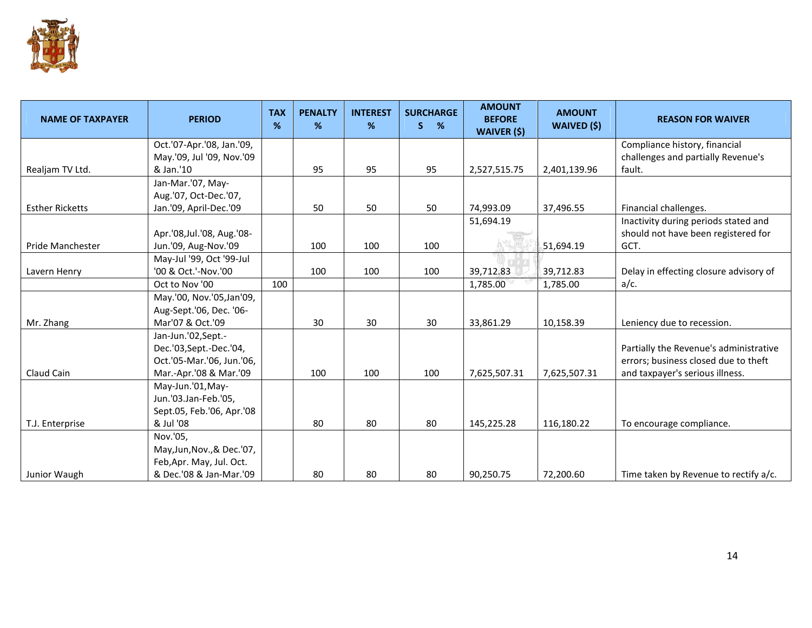

| <b>NAME OF TAXPAYER</b> | <b>PERIOD</b>              | <b>TAX</b><br>% | <b>PENALTY</b><br>% | <b>INTEREST</b><br>% | <b>SURCHARGE</b><br>%<br>S. | <b>AMOUNT</b><br><b>BEFORE</b><br><b>WAIVER (\$)</b> | <b>AMOUNT</b><br>WAIVED (\$) | <b>REASON FOR WAIVER</b>               |
|-------------------------|----------------------------|-----------------|---------------------|----------------------|-----------------------------|------------------------------------------------------|------------------------------|----------------------------------------|
|                         | Oct.'07-Apr.'08, Jan.'09,  |                 |                     |                      |                             |                                                      |                              | Compliance history, financial          |
|                         | May.'09, Jul '09, Nov.'09  |                 |                     |                      |                             |                                                      |                              | challenges and partially Revenue's     |
| Realjam TV Ltd.         | & Jan.'10                  |                 | 95                  | 95                   | 95                          | 2,527,515.75                                         | 2,401,139.96                 | fault.                                 |
|                         | Jan-Mar.'07, May-          |                 |                     |                      |                             |                                                      |                              |                                        |
|                         | Aug.'07, Oct-Dec.'07,      |                 |                     |                      |                             |                                                      |                              |                                        |
| <b>Esther Ricketts</b>  | Jan.'09, April-Dec.'09     |                 | 50                  | 50                   | 50                          | 74,993.09                                            | 37,496.55                    | Financial challenges.                  |
|                         |                            |                 |                     |                      |                             | 51,694.19                                            |                              | Inactivity during periods stated and   |
|                         | Apr.'08, Jul.'08, Aug.'08- |                 |                     |                      |                             |                                                      |                              | should not have been registered for    |
| Pride Manchester        | Jun.'09, Aug-Nov.'09       |                 | 100                 | 100                  | 100                         |                                                      | 51,694.19                    | GCT.                                   |
|                         | May-Jul '99, Oct '99-Jul   |                 |                     |                      |                             |                                                      |                              |                                        |
| Lavern Henry            | '00 & Oct.'-Nov.'00        |                 | 100                 | 100                  | 100                         | 39,712.83                                            | 39,712.83                    | Delay in effecting closure advisory of |
|                         | Oct to Nov '00             | 100             |                     |                      |                             | 1,785.00                                             | 1,785.00                     | $a/c$ .                                |
|                         | May.'00, Nov.'05, Jan'09,  |                 |                     |                      |                             |                                                      |                              |                                        |
|                         | Aug-Sept.'06, Dec. '06-    |                 |                     |                      |                             |                                                      |                              |                                        |
| Mr. Zhang               | Mar'07 & Oct.'09           |                 | 30                  | 30                   | 30                          | 33,861.29                                            | 10,158.39                    | Leniency due to recession.             |
|                         | Jan-Jun.'02, Sept.-        |                 |                     |                      |                             |                                                      |                              |                                        |
|                         | Dec.'03, Sept.-Dec.'04,    |                 |                     |                      |                             |                                                      |                              | Partially the Revenue's administrative |
|                         | Oct.'05-Mar.'06, Jun.'06,  |                 |                     |                      |                             |                                                      |                              | errors; business closed due to theft   |
| Claud Cain              | Mar.-Apr.'08 & Mar.'09     |                 | 100                 | 100                  | 100                         | 7,625,507.31                                         | 7,625,507.31                 | and taxpayer's serious illness.        |
|                         | May-Jun.'01, May-          |                 |                     |                      |                             |                                                      |                              |                                        |
|                         | Jun.'03.Jan-Feb.'05,       |                 |                     |                      |                             |                                                      |                              |                                        |
|                         | Sept.05, Feb.'06, Apr.'08  |                 |                     |                      |                             |                                                      |                              |                                        |
| T.J. Enterprise         | & Jul '08                  |                 | 80                  | 80                   | 80                          | 145,225.28                                           | 116,180.22                   | To encourage compliance.               |
|                         | Nov.'05,                   |                 |                     |                      |                             |                                                      |                              |                                        |
|                         | May, Jun, Nov., & Dec.'07, |                 |                     |                      |                             |                                                      |                              |                                        |
|                         | Feb, Apr. May, Jul. Oct.   |                 |                     |                      |                             |                                                      |                              |                                        |
| Junior Waugh            | & Dec.'08 & Jan-Mar.'09    |                 | 80                  | 80                   | 80                          | 90,250.75                                            | 72,200.60                    | Time taken by Revenue to rectify a/c.  |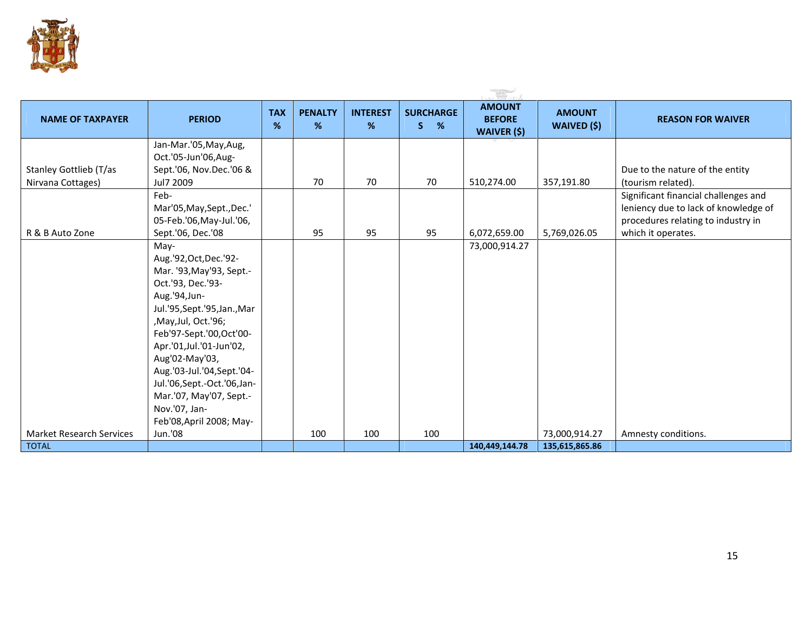

|                                             |                                                                                                                                                                                                                                                                                                                                                                      |                 |                     |                      |                             | <b>TAS</b>                                           |                                     |                                                                                                                    |
|---------------------------------------------|----------------------------------------------------------------------------------------------------------------------------------------------------------------------------------------------------------------------------------------------------------------------------------------------------------------------------------------------------------------------|-----------------|---------------------|----------------------|-----------------------------|------------------------------------------------------|-------------------------------------|--------------------------------------------------------------------------------------------------------------------|
| <b>NAME OF TAXPAYER</b>                     | <b>PERIOD</b>                                                                                                                                                                                                                                                                                                                                                        | <b>TAX</b><br>% | <b>PENALTY</b><br>% | <b>INTEREST</b><br>% | <b>SURCHARGE</b><br>S.<br>% | <b>AMOUNT</b><br><b>BEFORE</b><br><b>WAIVER (\$)</b> | <b>AMOUNT</b><br><b>WAIVED (\$)</b> | <b>REASON FOR WAIVER</b>                                                                                           |
|                                             | Jan-Mar.'05, May, Aug,<br>Oct.'05-Jun'06,Aug-                                                                                                                                                                                                                                                                                                                        |                 |                     |                      |                             |                                                      |                                     |                                                                                                                    |
| Stanley Gottlieb (T/as<br>Nirvana Cottages) | Sept.'06, Nov.Dec.'06 &<br>Jul7 2009                                                                                                                                                                                                                                                                                                                                 |                 | 70                  | 70                   | 70                          | 510,274.00                                           | 357,191.80                          | Due to the nature of the entity<br>(tourism related).                                                              |
|                                             | Feb-<br>Mar'05, May, Sept., Dec.'<br>05-Feb.'06, May-Jul.'06,                                                                                                                                                                                                                                                                                                        |                 |                     |                      |                             |                                                      |                                     | Significant financial challenges and<br>leniency due to lack of knowledge of<br>procedures relating to industry in |
| R & B Auto Zone                             | Sept.'06, Dec.'08                                                                                                                                                                                                                                                                                                                                                    |                 | 95                  | 95                   | 95                          | 6,072,659.00                                         | 5,769,026.05                        | which it operates.                                                                                                 |
|                                             | May-<br>Aug.'92, Oct, Dec.'92-<br>Mar. '93, May' 93, Sept.-<br>Oct.'93, Dec.'93-<br>Aug.'94, Jun-<br>Jul.'95, Sept.'95, Jan., Mar<br>,May,Jul, Oct.'96;<br>Feb'97-Sept.'00, Oct'00-<br>Apr.'01,Jul.'01-Jun'02,<br>Aug'02-May'03,<br>Aug.'03-Jul.'04, Sept.'04-<br>Jul.'06,Sept.-Oct.'06,Jan-<br>Mar.'07, May'07, Sept.-<br>Nov.'07, Jan-<br>Feb'08, April 2008; May- |                 |                     |                      |                             | 73,000,914.27                                        |                                     |                                                                                                                    |
| <b>Market Research Services</b>             | Jun.'08                                                                                                                                                                                                                                                                                                                                                              |                 | 100                 | 100                  | 100                         |                                                      | 73,000,914.27                       | Amnesty conditions.                                                                                                |
| <b>TOTAL</b>                                |                                                                                                                                                                                                                                                                                                                                                                      |                 |                     |                      |                             | 140,449,144.78                                       | 135,615,865.86                      |                                                                                                                    |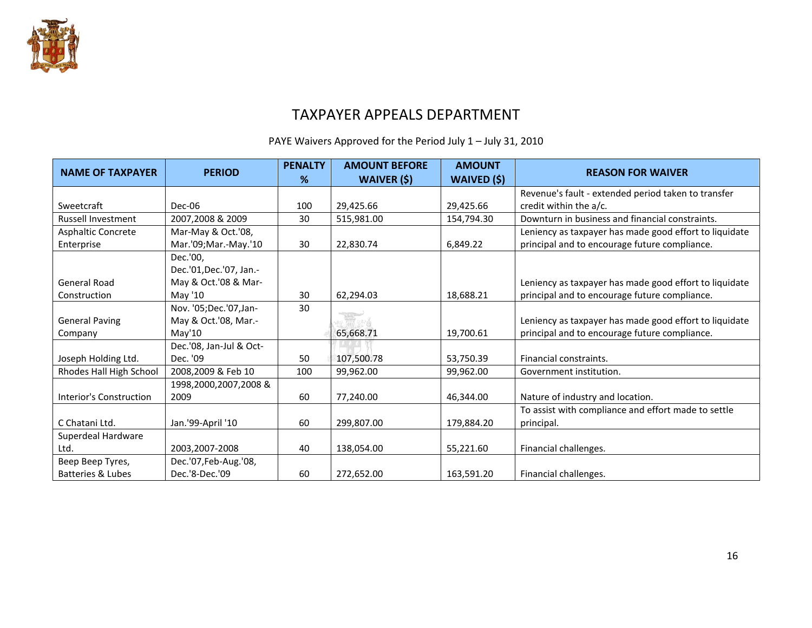

## TAXPAYER APPEALS DEPARTMENT

PAYE Waivers Approved for the Period July 1 – July 31, 2010

| <b>NAME OF TAXPAYER</b>          | <b>PERIOD</b>                                               | <b>PENALTY</b><br>% | <b>AMOUNT BEFORE</b><br><b>WAIVER (\$)</b> | <b>AMOUNT</b><br>WAIVED (\$) | <b>REASON FOR WAIVER</b>                                                                                |
|----------------------------------|-------------------------------------------------------------|---------------------|--------------------------------------------|------------------------------|---------------------------------------------------------------------------------------------------------|
|                                  |                                                             |                     |                                            |                              | Revenue's fault - extended period taken to transfer                                                     |
| Sweetcraft                       | Dec-06                                                      | 100                 | 29,425.66                                  | 29,425.66                    | credit within the a/c.                                                                                  |
| <b>Russell Investment</b>        | 2007,2008 & 2009                                            | 30                  | 515,981.00                                 | 154,794.30                   | Downturn in business and financial constraints.                                                         |
| <b>Asphaltic Concrete</b>        | Mar-May & Oct.'08,                                          |                     |                                            |                              | Leniency as taxpayer has made good effort to liquidate                                                  |
| Enterprise                       | Mar.'09; Mar.-May.'10                                       | 30                  | 22,830.74                                  | 6,849.22                     | principal and to encourage future compliance.                                                           |
| <b>General Road</b>              | Dec.'00,<br>Dec.'01, Dec.'07, Jan.-<br>May & Oct.'08 & Mar- |                     |                                            |                              | Leniency as taxpayer has made good effort to liquidate                                                  |
| Construction                     | May '10                                                     | 30                  | 62,294.03                                  | 18,688.21                    | principal and to encourage future compliance.                                                           |
| <b>General Paving</b><br>Company | Nov. '05; Dec.'07, Jan-<br>May & Oct.'08, Mar.-<br>May'10   | 30                  | 65,668.71                                  | 19,700.61                    | Leniency as taxpayer has made good effort to liquidate<br>principal and to encourage future compliance. |
| Joseph Holding Ltd.              | Dec.'08, Jan-Jul & Oct-<br>Dec. '09                         | 50                  | 107,500.78                                 | 53,750.39                    | Financial constraints.                                                                                  |
| Rhodes Hall High School          | 2008,2009 & Feb 10                                          | 100                 | 99,962.00                                  | 99,962.00                    | Government institution.                                                                                 |
| Interior's Construction          | 1998,2000,2007,2008 &<br>2009                               | 60                  | 77,240.00                                  | 46,344.00                    | Nature of industry and location.                                                                        |
| C Chatani Ltd.                   | Jan.'99-April '10                                           | 60                  | 299,807.00                                 | 179,884.20                   | To assist with compliance and effort made to settle<br>principal.                                       |
| Superdeal Hardware               |                                                             |                     |                                            |                              |                                                                                                         |
| Ltd.                             | 2003,2007-2008                                              | 40                  | 138,054.00                                 | 55,221.60                    | Financial challenges.                                                                                   |
| Beep Beep Tyres,                 | Dec.'07, Feb-Aug.'08,                                       |                     |                                            |                              |                                                                                                         |
| <b>Batteries &amp; Lubes</b>     | Dec.'8-Dec.'09                                              | 60                  | 272,652.00                                 | 163,591.20                   | Financial challenges.                                                                                   |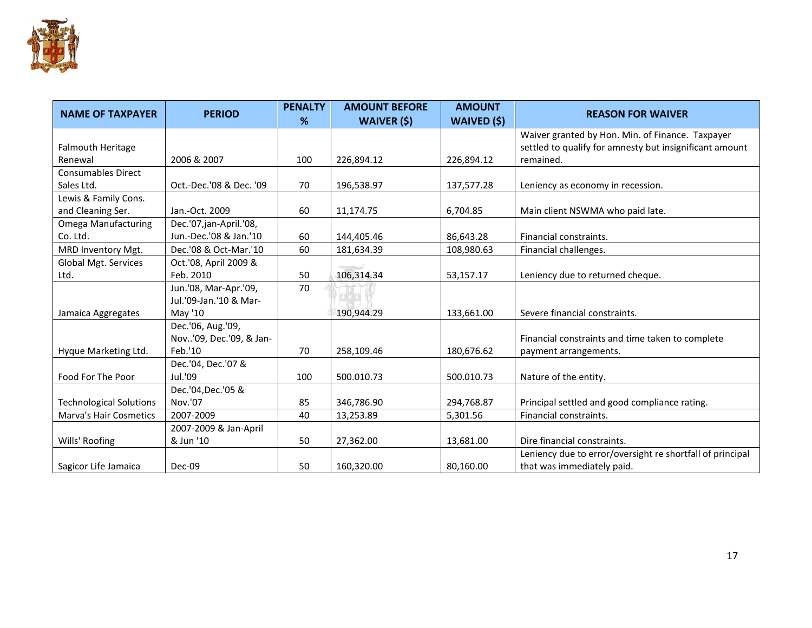

| <b>NAME OF TAXPAYER</b>        | <b>PERIOD</b>           | <b>PENALTY</b><br>% | <b>AMOUNT BEFORE</b><br><b>WAIVER (\$)</b> | <b>AMOUNT</b><br>WAIVED (\$) | <b>REASON FOR WAIVER</b>                                  |
|--------------------------------|-------------------------|---------------------|--------------------------------------------|------------------------------|-----------------------------------------------------------|
|                                |                         |                     |                                            |                              | Waiver granted by Hon. Min. of Finance. Taxpayer          |
| Falmouth Heritage              |                         |                     |                                            |                              | settled to qualify for amnesty but insignificant amount   |
| Renewal                        | 2006 & 2007             | 100                 | 226,894.12                                 | 226,894.12                   | remained.                                                 |
| <b>Consumables Direct</b>      |                         |                     |                                            |                              |                                                           |
| Sales Ltd.                     | Oct.-Dec.'08 & Dec. '09 | 70                  | 196,538.97                                 | 137,577.28                   | Leniency as economy in recession.                         |
| Lewis & Family Cons.           |                         |                     |                                            |                              |                                                           |
| and Cleaning Ser.              | Jan.-Oct. 2009          | 60                  | 11,174.75                                  | 6,704.85                     | Main client NSWMA who paid late.                          |
| <b>Omega Manufacturing</b>     | Dec.'07,jan-April.'08,  |                     |                                            |                              |                                                           |
| Co. Ltd.                       | Jun.-Dec.'08 & Jan.'10  | 60                  | 144,405.46                                 | 86,643.28                    | Financial constraints.                                    |
| MRD Inventory Mgt.             | Dec.'08 & Oct-Mar.'10   | 60                  | 181,634.39                                 | 108,980.63                   | Financial challenges.                                     |
| Global Mgt. Services           | Oct.'08, April 2009 &   |                     |                                            |                              |                                                           |
| Ltd.                           | Feb. 2010               | 50                  | 106,314.34                                 | 53,157.17                    | Leniency due to returned cheque.                          |
|                                | Jun.'08, Mar-Apr.'09,   | 70                  |                                            |                              |                                                           |
|                                | Jul.'09-Jan.'10 & Mar-  |                     |                                            |                              |                                                           |
| Jamaica Aggregates             | May '10                 |                     | 190,944.29                                 | 133,661.00                   | Severe financial constraints.                             |
|                                | Dec.'06, Aug.'09,       |                     |                                            |                              |                                                           |
|                                | Nov'09, Dec.'09, & Jan- |                     |                                            |                              | Financial constraints and time taken to complete          |
| Hyque Marketing Ltd.           | Feb.'10                 | 70                  | 258,109.46                                 | 180,676.62                   | payment arrangements.                                     |
|                                | Dec.'04, Dec.'07 &      |                     |                                            |                              |                                                           |
| Food For The Poor              | Jul.'09                 | 100                 | 500.010.73                                 | 500.010.73                   | Nature of the entity.                                     |
|                                | Dec.'04, Dec.'05 &      |                     |                                            |                              |                                                           |
| <b>Technological Solutions</b> | Nov.'07                 | 85                  | 346,786.90                                 | 294,768.87                   | Principal settled and good compliance rating.             |
| <b>Marva's Hair Cosmetics</b>  | 2007-2009               | 40                  | 13,253.89                                  | 5,301.56                     | Financial constraints.                                    |
|                                | 2007-2009 & Jan-April   |                     |                                            |                              |                                                           |
| Wills' Roofing                 | & Jun '10               | 50                  | 27,362.00                                  | 13,681.00                    | Dire financial constraints.                               |
|                                |                         |                     |                                            |                              | Leniency due to error/oversight re shortfall of principal |
| Sagicor Life Jamaica           | Dec-09                  | 50                  | 160,320.00                                 | 80,160.00                    | that was immediately paid.                                |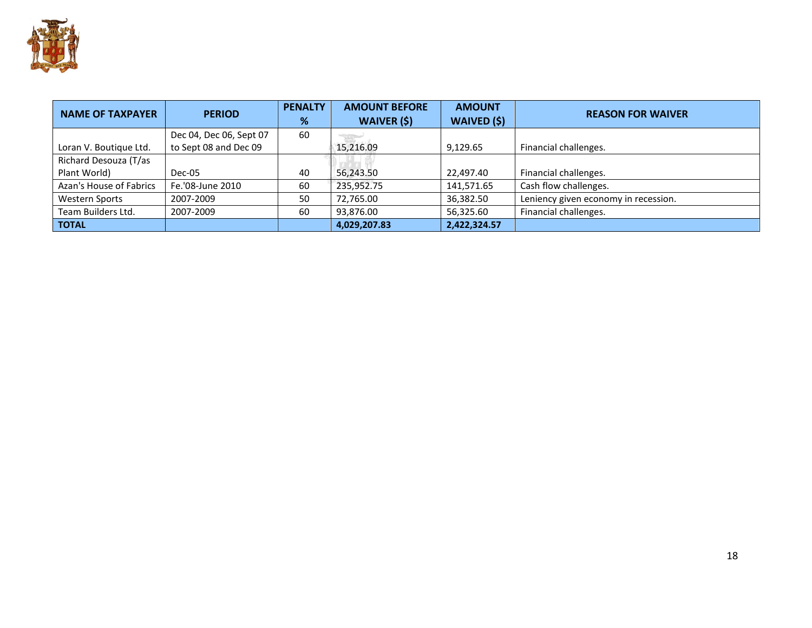

| <b>NAME OF TAXPAYER</b> | <b>PERIOD</b>           | <b>PENALTY</b><br>% | <b>AMOUNT BEFORE</b><br><b>WAIVER (\$)</b> | <b>AMOUNT</b><br><b>WAIVED (\$)</b> | <b>REASON FOR WAIVER</b>             |
|-------------------------|-------------------------|---------------------|--------------------------------------------|-------------------------------------|--------------------------------------|
|                         | Dec 04, Dec 06, Sept 07 | 60                  |                                            |                                     |                                      |
| Loran V. Boutique Ltd.  | to Sept 08 and Dec 09   |                     | 15.216.09                                  | 9,129.65                            | Financial challenges.                |
| Richard Desouza (T/as   |                         |                     |                                            |                                     |                                      |
| Plant World)            | Dec-05                  | 40                  | 56,243.50                                  | 22,497.40                           | Financial challenges.                |
| Azan's House of Fabrics | Fe.'08-June 2010        | 60                  | 235,952.75                                 | 141,571.65                          | Cash flow challenges.                |
| <b>Western Sports</b>   | 2007-2009               | 50                  | 72,765.00                                  | 36,382.50                           | Leniency given economy in recession. |
| Team Builders Ltd.      | 2007-2009               | 60                  | 93,876.00                                  | 56,325.60                           | Financial challenges.                |
| <b>TOTAL</b>            |                         |                     | 4,029,207.83                               | 2,422,324.57                        |                                      |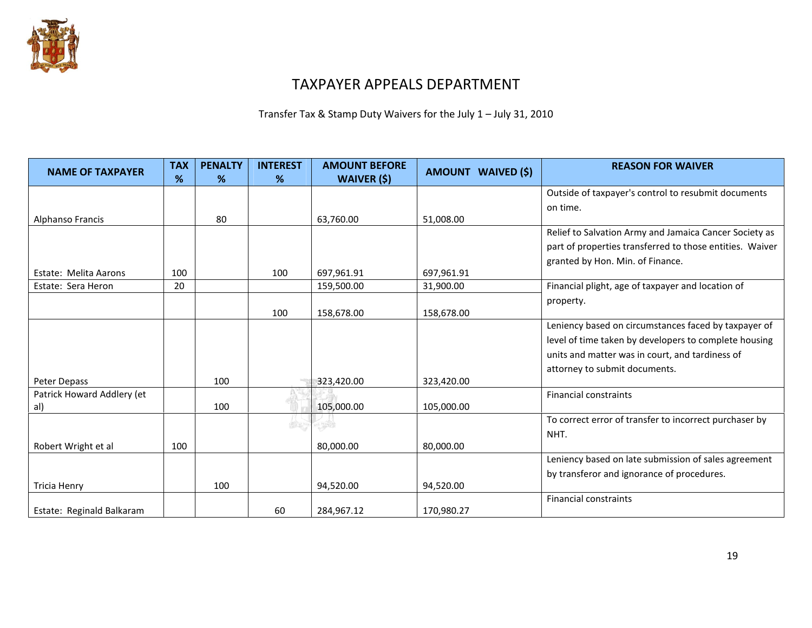

### TAXPAYER APPEALS DEPARTMENT

Transfer Tax & Stamp Duty Waivers for the July 1 – July 31, 2010

| <b>NAME OF TAXPAYER</b>      | <b>TAX</b><br>% | <b>PENALTY</b><br>$\%$ | <b>INTEREST</b><br>% | <b>AMOUNT BEFORE</b><br><b>WAIVER (\$)</b> | AMOUNT WAIVED (\$) | <b>REASON FOR WAIVER</b>                                 |
|------------------------------|-----------------|------------------------|----------------------|--------------------------------------------|--------------------|----------------------------------------------------------|
|                              |                 |                        |                      |                                            |                    | Outside of taxpayer's control to resubmit documents      |
|                              |                 |                        |                      |                                            |                    | on time.                                                 |
| Alphanso Francis             |                 | 80                     |                      | 63,760.00                                  | 51,008.00          |                                                          |
|                              |                 |                        |                      |                                            |                    | Relief to Salvation Army and Jamaica Cancer Society as   |
|                              |                 |                        |                      |                                            |                    | part of properties transferred to those entities. Waiver |
|                              |                 |                        |                      |                                            |                    | granted by Hon. Min. of Finance.                         |
| <b>Estate: Melita Aarons</b> | 100             |                        | 100                  | 697,961.91                                 | 697,961.91         |                                                          |
| Estate: Sera Heron           | 20              |                        |                      | 159,500.00                                 | 31,900.00          | Financial plight, age of taxpayer and location of        |
|                              |                 |                        |                      |                                            |                    | property.                                                |
|                              |                 |                        | 100                  | 158,678.00                                 | 158,678.00         |                                                          |
|                              |                 |                        |                      |                                            |                    | Leniency based on circumstances faced by taxpayer of     |
|                              |                 |                        |                      |                                            |                    | level of time taken by developers to complete housing    |
|                              |                 |                        |                      |                                            |                    | units and matter was in court, and tardiness of          |
|                              |                 |                        |                      |                                            |                    | attorney to submit documents.                            |
| Peter Depass                 |                 | 100                    |                      | 323,420.00                                 | 323,420.00         |                                                          |
| Patrick Howard Addlery (et   |                 |                        |                      |                                            |                    | <b>Financial constraints</b>                             |
| al)                          |                 | 100                    |                      | 105,000.00                                 | 105,000.00         |                                                          |
|                              |                 |                        |                      |                                            |                    | To correct error of transfer to incorrect purchaser by   |
|                              |                 |                        |                      |                                            |                    | NHT.                                                     |
| Robert Wright et al          | 100             |                        |                      | 80,000.00                                  | 80,000.00          |                                                          |
|                              |                 |                        |                      |                                            |                    | Leniency based on late submission of sales agreement     |
|                              |                 |                        |                      |                                            |                    | by transferor and ignorance of procedures.               |
| <b>Tricia Henry</b>          |                 | 100                    |                      | 94,520.00                                  | 94,520.00          |                                                          |
|                              |                 |                        |                      |                                            |                    | <b>Financial constraints</b>                             |
| Estate: Reginald Balkaram    |                 |                        | 60                   | 284,967.12                                 | 170,980.27         |                                                          |